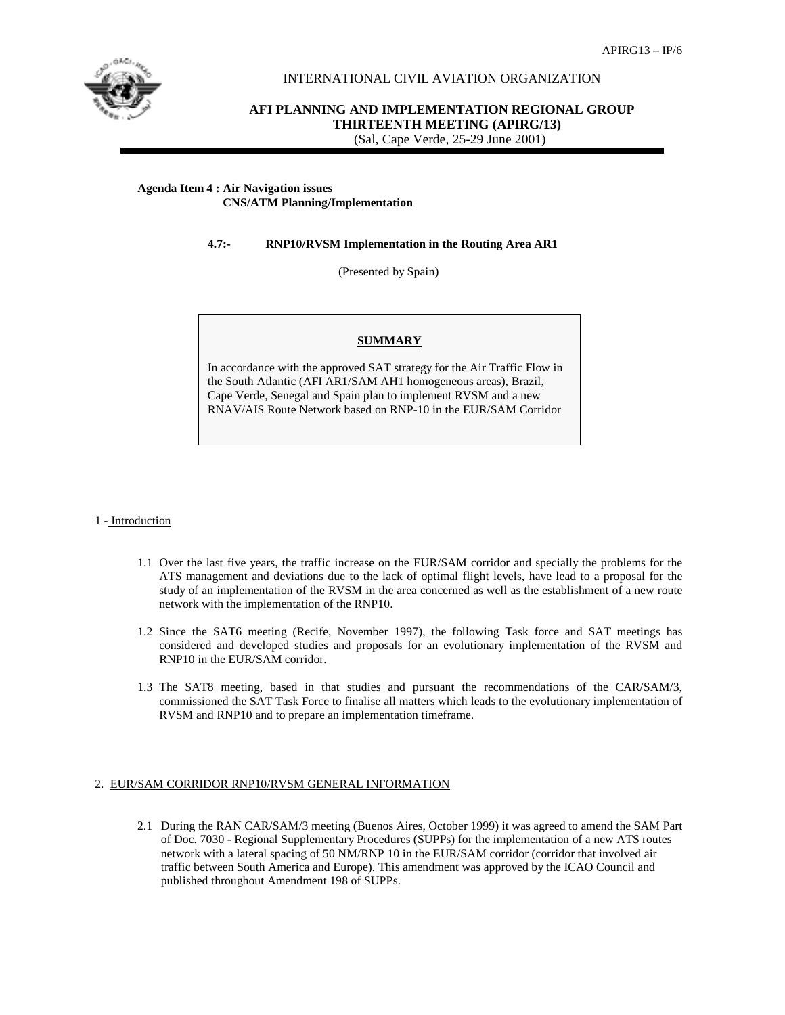

## INTERNATIONAL CIVIL AVIATION ORGANIZATION

**AFI PLANNING AND IMPLEMENTATION REGIONAL GROUP THIRTEENTH MEETING (APIRG/13)** (Sal, Cape Verde, 25-29 June 2001)

### **Agenda Item 4 : Air Navigation issues CNS/ATM Planning/Implementation**

# **4.7:- RNP10/RVSM Implementation in the Routing Area AR1**

(Presented by Spain)

## **SUMMARY**

In accordance with the approved SAT strategy for the Air Traffic Flow in the South Atlantic (AFI AR1/SAM AH1 homogeneous areas), Brazil, Cape Verde, Senegal and Spain plan to implement RVSM and a new RNAV/AIS Route Network based on RNP-10 in the EUR/SAM Corridor

#### 1 - Introduction

- 1.1 Over the last five years, the traffic increase on the EUR/SAM corridor and specially the problems for the ATS management and deviations due to the lack of optimal flight levels, have lead to a proposal for the study of an implementation of the RVSM in the area concerned as well as the establishment of a new route network with the implementation of the RNP10.
- 1.2 Since the SAT6 meeting (Recife, November 1997), the following Task force and SAT meetings has considered and developed studies and proposals for an evolutionary implementation of the RVSM and RNP10 in the EUR/SAM corridor.
- 1.3 The SAT8 meeting, based in that studies and pursuant the recommendations of the CAR/SAM/3, commissioned the SAT Task Force to finalise all matters which leads to the evolutionary implementation of RVSM and RNP10 and to prepare an implementation timeframe.

#### 2. EUR/SAM CORRIDOR RNP10/RVSM GENERAL INFORMATION

2.1 During the RAN CAR/SAM/3 meeting (Buenos Aires, October 1999) it was agreed to amend the SAM Part of Doc. 7030 - Regional Supplementary Procedures (SUPPs) for the implementation of a new ATS routes network with a lateral spacing of 50 NM/RNP 10 in the EUR/SAM corridor (corridor that involved air traffic between South America and Europe). This amendment was approved by the ICAO Council and published throughout Amendment 198 of SUPPs.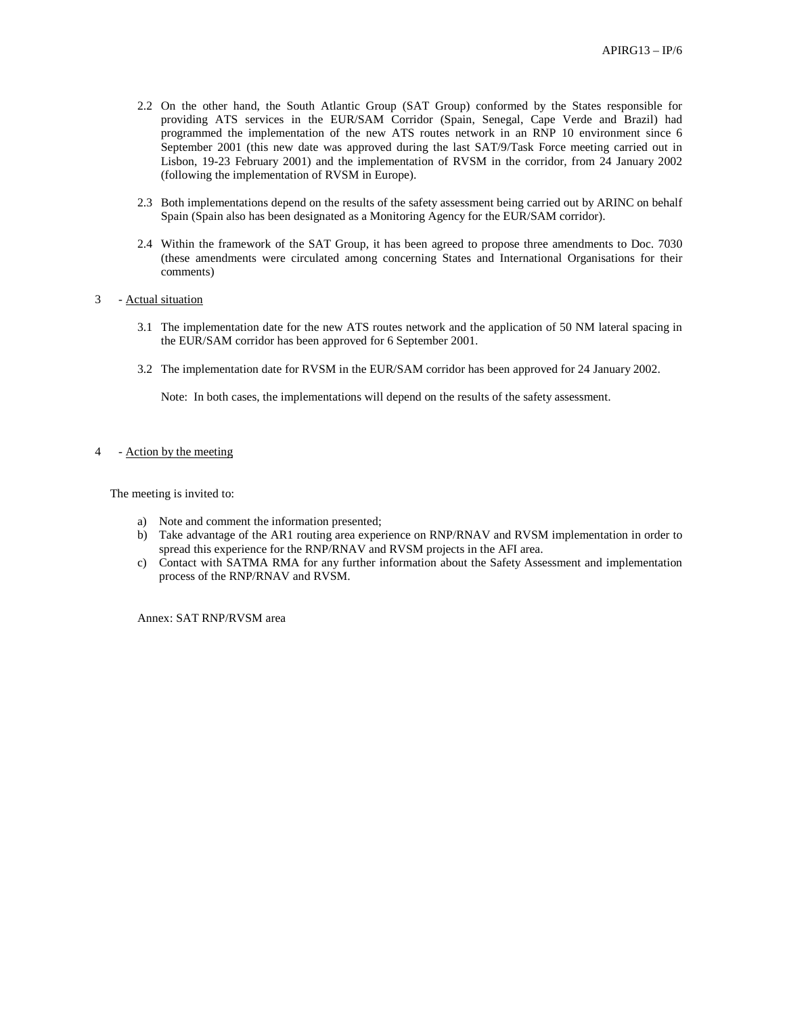- 2.2 On the other hand, the South Atlantic Group (SAT Group) conformed by the States responsible for providing ATS services in the EUR/SAM Corridor (Spain, Senegal, Cape Verde and Brazil) had programmed the implementation of the new ATS routes network in an RNP 10 environment since 6 September 2001 (this new date was approved during the last SAT/9/Task Force meeting carried out in Lisbon, 19-23 February 2001) and the implementation of RVSM in the corridor, from 24 January 2002 (following the implementation of RVSM in Europe).
- 2.3 Both implementations depend on the results of the safety assessment being carried out by ARINC on behalf Spain (Spain also has been designated as a Monitoring Agency for the EUR/SAM corridor).
- 2.4 Within the framework of the SAT Group, it has been agreed to propose three amendments to Doc. 7030 (these amendments were circulated among concerning States and International Organisations for their comments)
- 3 Actual situation
	- 3.1 The implementation date for the new ATS routes network and the application of 50 NM lateral spacing in the EUR/SAM corridor has been approved for 6 September 2001.
	- 3.2 The implementation date for RVSM in the EUR/SAM corridor has been approved for 24 January 2002.

Note: In both cases, the implementations will depend on the results of the safety assessment.

# 4 - Action by the meeting

The meeting is invited to:

- a) Note and comment the information presented;
- b) Take advantage of the AR1 routing area experience on RNP/RNAV and RVSM implementation in order to spread this experience for the RNP/RNAV and RVSM projects in the AFI area.
- c) Contact with SATMA RMA for any further information about the Safety Assessment and implementation process of the RNP/RNAV and RVSM.

Annex: SAT RNP/RVSM area